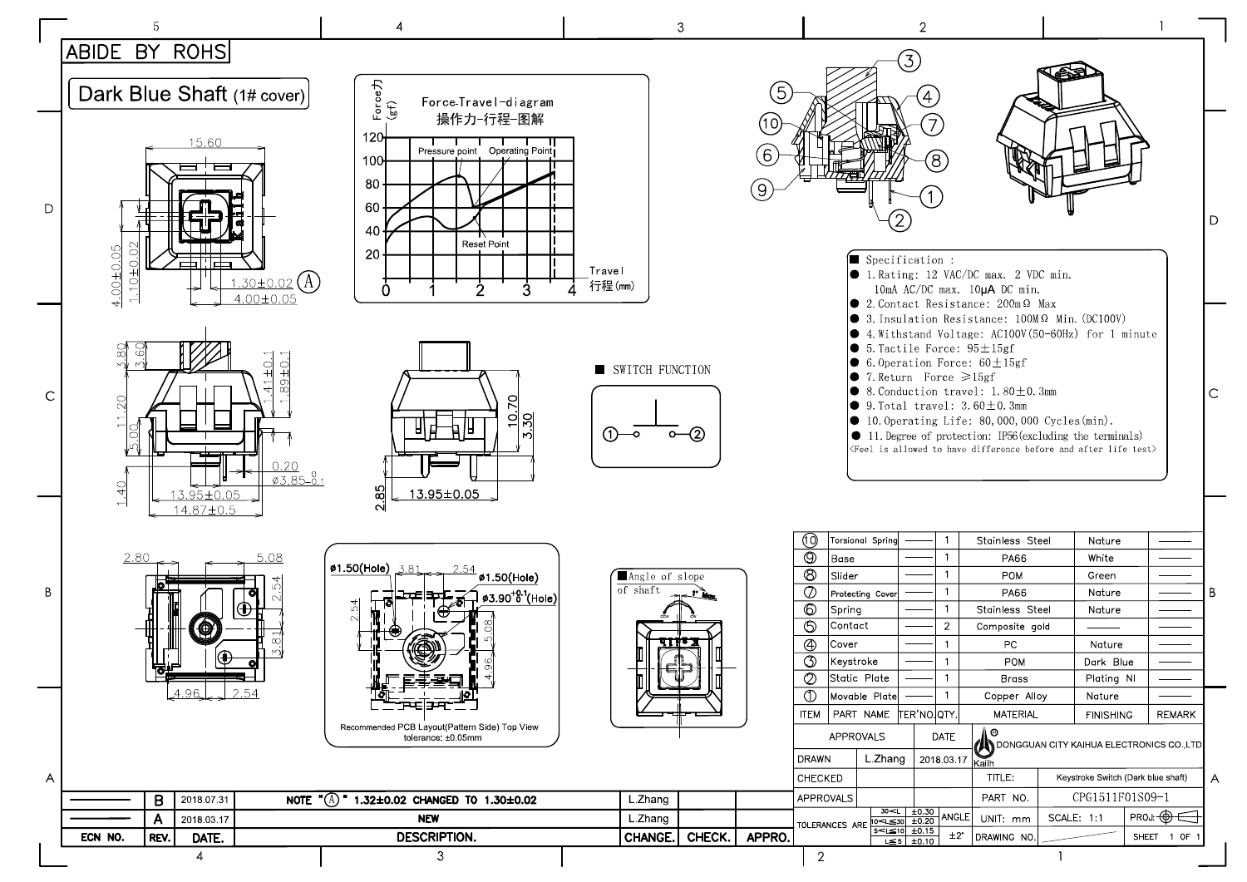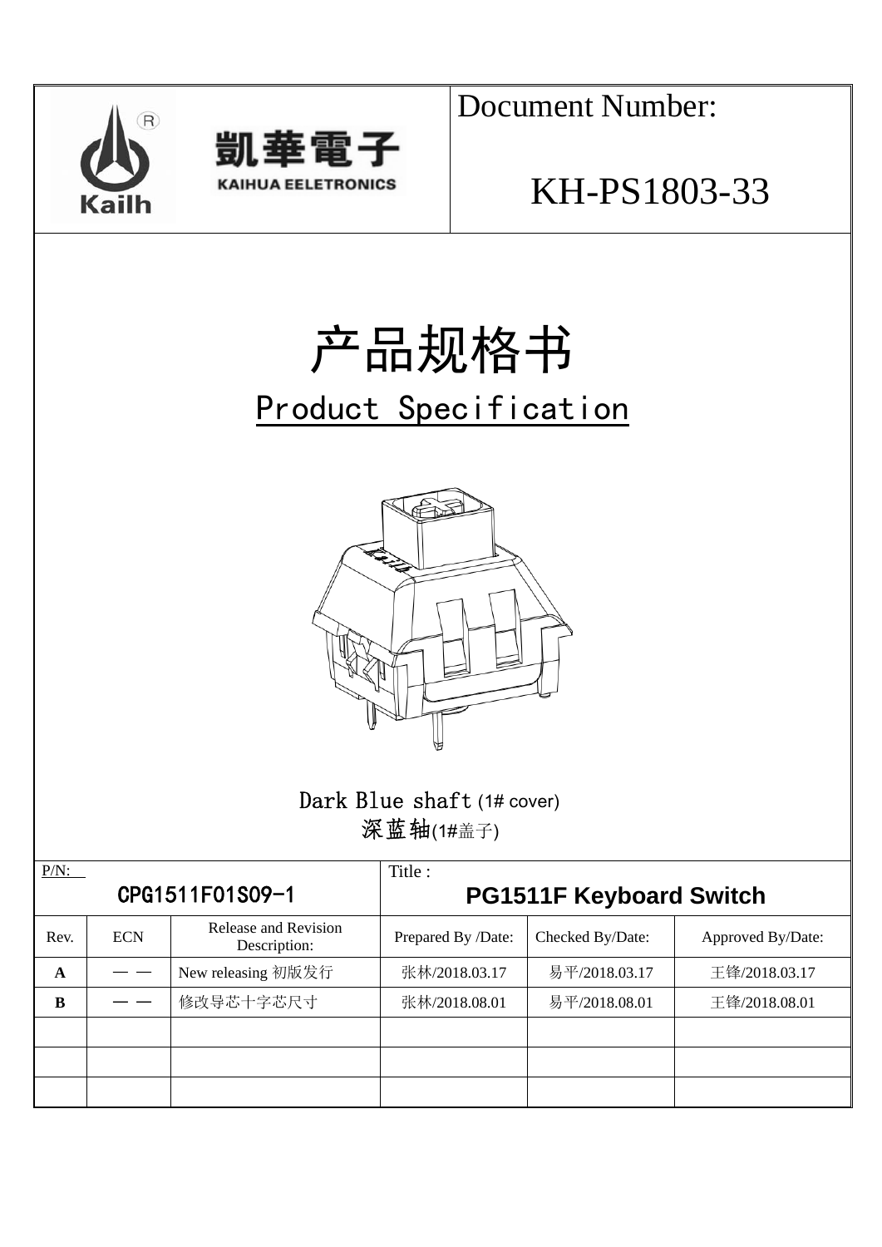



Document Number:

# KH-PS1803-33

# 产品规格书 Product Specification



### Dark Blue shaft (1# cover) 深蓝轴(1#盖子)

| $P/N$ :         |            |                                      | Title:                         |                  |                   |  |  |
|-----------------|------------|--------------------------------------|--------------------------------|------------------|-------------------|--|--|
| CPG1511F01S09-1 |            |                                      | <b>PG1511F Keyboard Switch</b> |                  |                   |  |  |
| Rev.            | <b>ECN</b> | Release and Revision<br>Description: | Prepared By /Date:             | Checked By/Date: | Approved By/Date: |  |  |
| A               |            | New releasing 初版发行                   | 张林/2018.03.17                  | 易平/2018.03.17    | 王锋/2018.03.17     |  |  |
| B               |            | 修改导芯十字芯尺寸                            | 张林/2018.08.01                  | 易平/2018.08.01    | 王锋/2018.08.01     |  |  |
|                 |            |                                      |                                |                  |                   |  |  |
|                 |            |                                      |                                |                  |                   |  |  |
|                 |            |                                      |                                |                  |                   |  |  |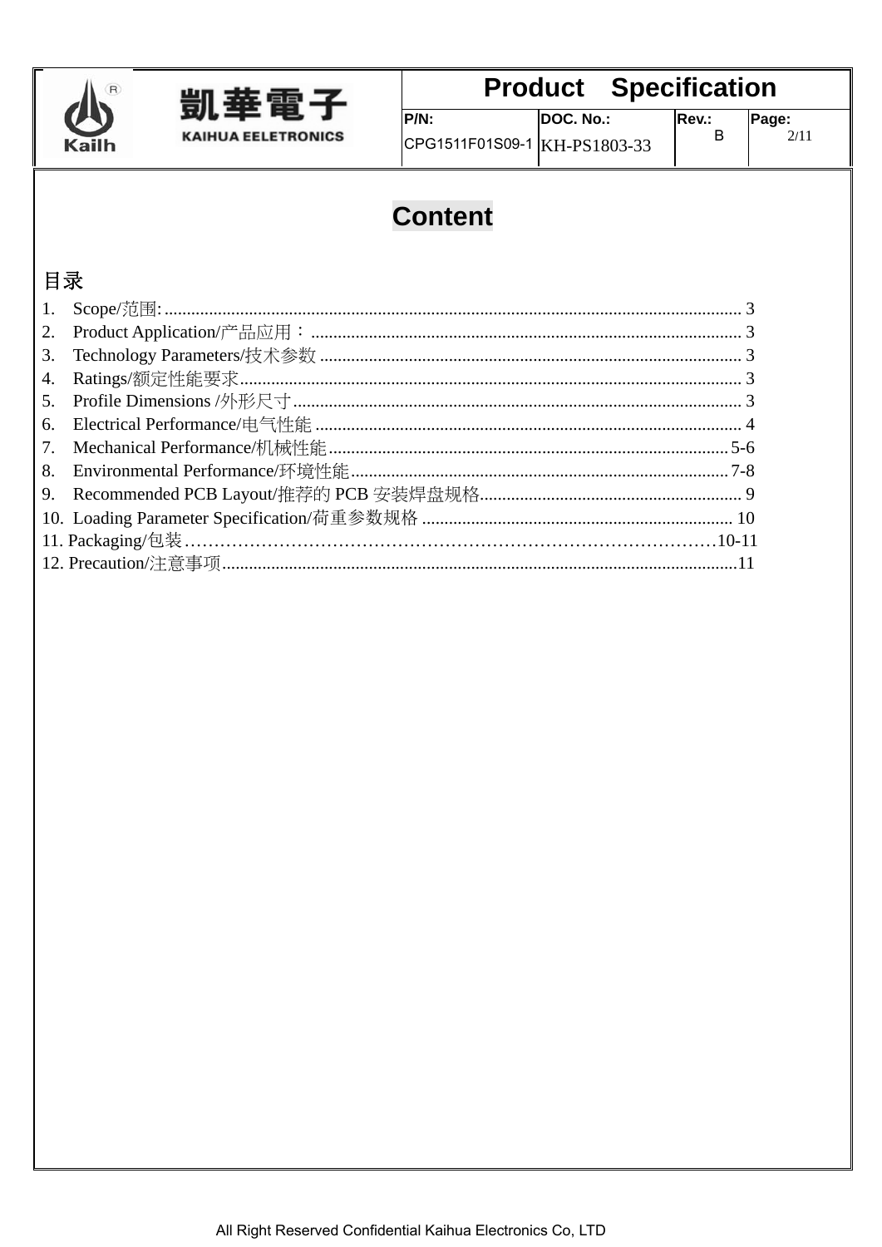



DOC. No.:  $P/N$ :  $CPG1511F01S09-1$  KH-PS1803-33

 $\sf B$ 

### **Content**

### 目录

| 6. |  |
|----|--|
| 7. |  |
|    |  |
|    |  |
|    |  |
|    |  |
|    |  |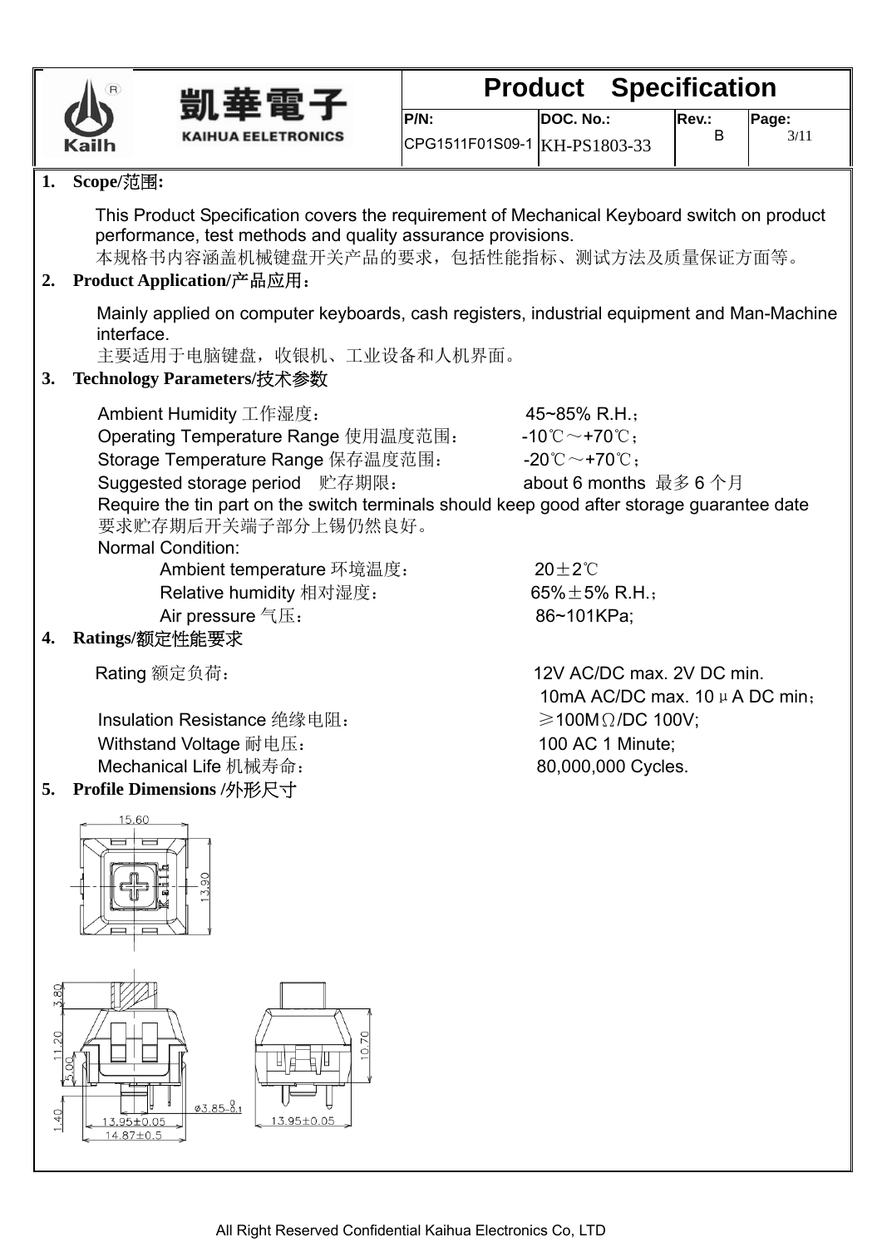



| P/N:                         | DOC. No.: |
|------------------------------|-----------|
| CPG1511F01S09-1 KH-PS1803-33 |           |

#### **1. Scope/**范围**:**

This Product Specification covers the requirement of Mechanical Keyboard switch on product performance, test methods and quality assurance provisions.

本规格书内容涵盖机械键盘开关产品的要求,包括性能指标、测试方法及质量保证方面等。

#### **2. Product Application/**产品应用:

Mainly applied on computer keyboards, cash registers, industrial equipment and Man-Machine interface.

主要适用于电脑键盘,收银机、工业设备和人机界面。

#### **3. Technology Parameters/**技术参数

Ambient Humidity 工作湿度:  $\frac{1}{2}$  45~85% R.H.;

Operating Temperature Range 使用温度范围: - -10℃~+70℃; Storage Temperature Range 保存温度范围: - -20℃~+70℃; Suggested storage period 贮存期限: about 6 months 最多 6 个月 Require the tin part on the switch terminals should keep good after storage guarantee date

要求贮存期后开关端子部分上锡仍然良好。

#### Normal Condition:

Ambient temperature 环境温度: 20±2℃ Relative humidity 相对湿度: <br>
65%±5% R.H.; Air pressure  $\overline{A}$ : 86~101KPa;

#### **4. Ratings/**额定性能要求

Insulation Resistance 绝缘电阻: ≥100MΩ/DC 100V; Withstand Voltage 耐电压: 100 AC 1 Minute; Mechanical Life 机械寿命: 80,000,000 Cycles.

#### **5. Profile Dimensions /**外形尺寸

Rating 额定负荷: 12V AC/DC max. 2V DC min. 10mA AC/DC max. 10 μ A DC min:

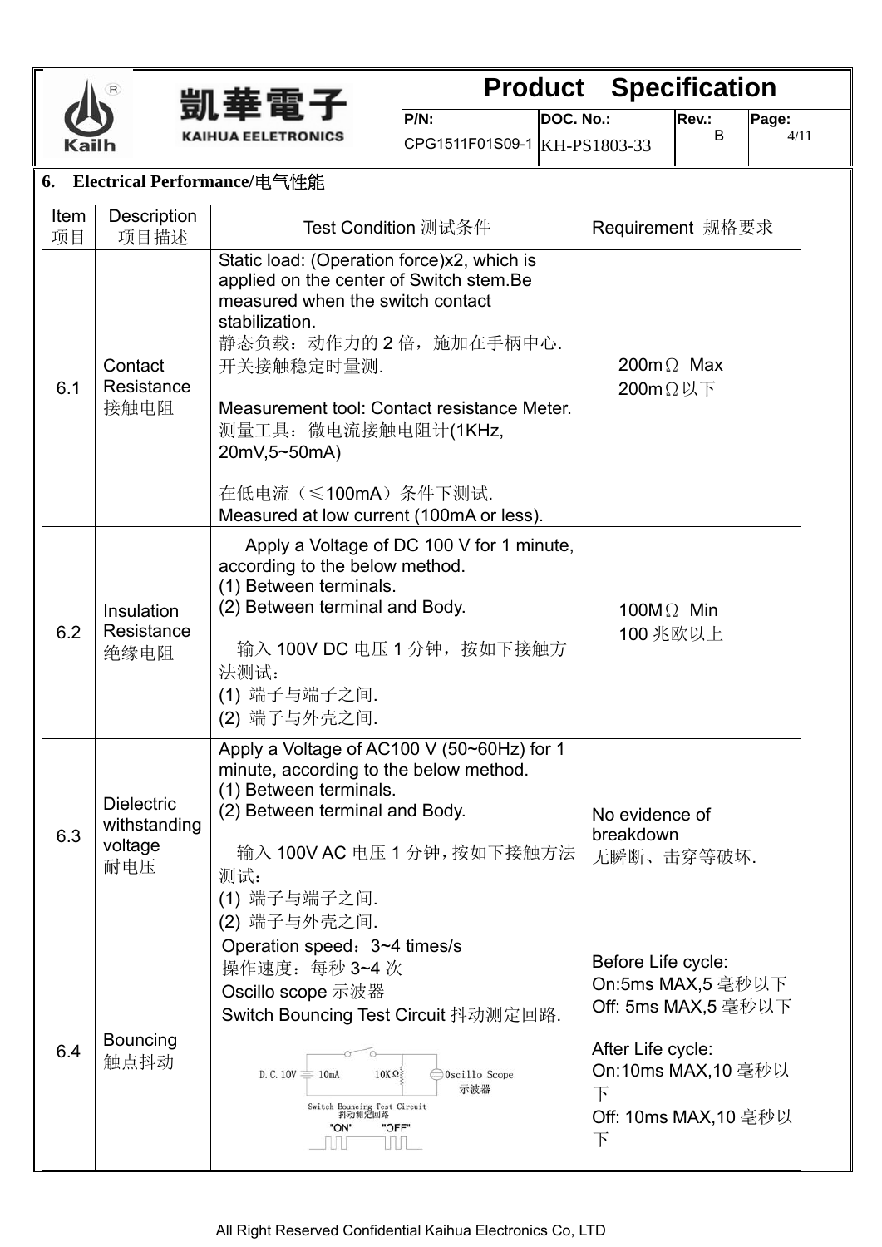



**P/N:**  CPG1511F01S09-1 KH-PS1803-33 **DOC. No.:** 

#### **6. Electrical Performance/**电气性能

| Item<br>项目 | Description<br>项目描述                                 | Test Condition 测试条件                                                                                                                                                                                                                                                                                                                          | Requirement 规格要求                                                                                                                            |
|------------|-----------------------------------------------------|----------------------------------------------------------------------------------------------------------------------------------------------------------------------------------------------------------------------------------------------------------------------------------------------------------------------------------------------|---------------------------------------------------------------------------------------------------------------------------------------------|
| 6.1        | Contact<br>Resistance<br>接触电阻                       | Static load: (Operation force)x2, which is<br>applied on the center of Switch stem.Be<br>measured when the switch contact<br>stabilization.<br>静态负载: 动作力的2倍, 施加在手柄中心.<br>开关接触稳定时量测.<br>Measurement tool: Contact resistance Meter.<br>测量工具: 微电流接触电阻计(1KHz,<br>20mV,5~50mA)<br>在低电流(≤100mA)条件下测试.<br>Measured at low current (100mA or less). | 200 $m\Omega$ Max<br>200mΩ以下                                                                                                                |
| 6.2        | Insulation<br>Resistance<br>绝缘电阻                    | Apply a Voltage of DC 100 V for 1 minute,<br>according to the below method.<br>(1) Between terminals.<br>(2) Between terminal and Body.<br>输入 100V DC 电压 1 分钟, 按如下接触方<br>法测试:<br>(1) 端子与端子之间.<br>(2) 端子与外壳之间.                                                                                                                                | 100 $M\Omega$ Min<br>100 兆欧以上                                                                                                               |
| 6.3        | <b>Dielectric</b><br>withstanding<br>voltage<br>耐电压 | Apply a Voltage of AC100 V (50~60Hz) for 1<br>minute, according to the below method.<br>(1) Between terminals.<br>(2) Between terminal and Body.<br>输入 100V AC 电压 1 分钟, 按如下接触方法<br>测试:<br>(1) 端子与端子之间.<br>(2) 端子与外壳之间.                                                                                                                       | No evidence of<br>breakdown<br>无瞬断、击穿等破坏.                                                                                                   |
| 6.4        | <b>Bouncing</b><br>触点抖动                             | Operation speed: 3~4 times/s<br>操作速度: 每秒 3~4 次<br>Oscillo scope 示波器<br>Switch Bouncing Test Circuit 抖动测定回路.<br>D.C. $10V \equiv 10mA$<br>$10K\Omega$<br>Oscillo Scope<br>示波器<br>Switch Bouncing Test Circuit<br>抖动测定回路<br>"ON"<br>"OFF"<br>Ш                                                                                                 | Before Life cycle:<br>On:5ms MAX,5 毫秒以下<br>Off: 5ms MAX,5 毫秒以下<br>After Life cycle:<br>On:10ms MAX,10 毫秒以<br>下<br>Off: 10ms MAX,10 毫秒以<br>下 |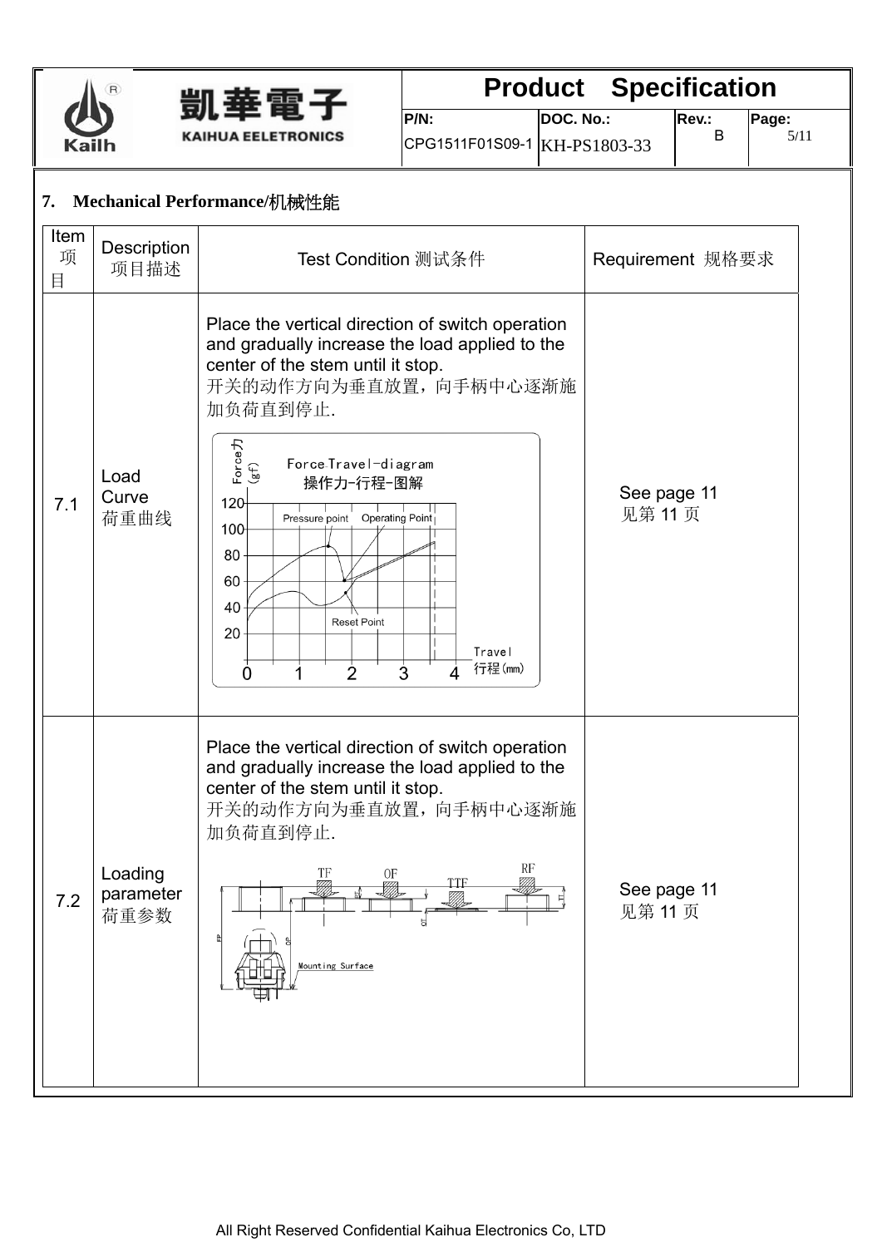



**P/N:**  CPG1511F01S09-1 KH-PS1803-33 **DOC. No.:** 

#### **7. Mechanical Performance/**机械性能

| Item<br>项<br>目 | Description<br>项目描述          | Test Condition 测试条件                                                                                                                                                                                                                                                                                                                                                                                       | Requirement 规格要求       |
|----------------|------------------------------|-----------------------------------------------------------------------------------------------------------------------------------------------------------------------------------------------------------------------------------------------------------------------------------------------------------------------------------------------------------------------------------------------------------|------------------------|
| 7.1            | Load<br>Curve<br>荷重曲线        | Place the vertical direction of switch operation<br>and gradually increase the load applied to the<br>center of the stem until it stop.<br>开关的动作方向为垂直放置,向手柄中心逐渐施<br>加负荷直到停止.<br>Force力<br>(gf)<br>Force-Travel-diagram<br>操作力-行程-图解<br>120<br>Operating Point<br>Pressure point<br>100<br>80<br>60<br>40<br><b>Reset Point</b><br>20<br>Travel<br>行程(mm)<br>$\dot{2}$<br>$\dot{3}$<br>Ó<br>$\overline{4}$ | See page 11<br>见第 11 页 |
| 7.2            | Loading<br>parameter<br>荷重参数 | Place the vertical direction of switch operation<br>and gradually increase the load applied to the<br>center of the stem until it stop.<br>开关的动作方向为垂直放置,向手柄中心逐渐施<br>加负荷直到停止.<br>RF<br>TF<br>0F<br><b>TTF</b><br><u>VIII)</u><br><u>VII A</u><br>Mounting Surface                                                                                                                                          | See page 11<br>见第11页   |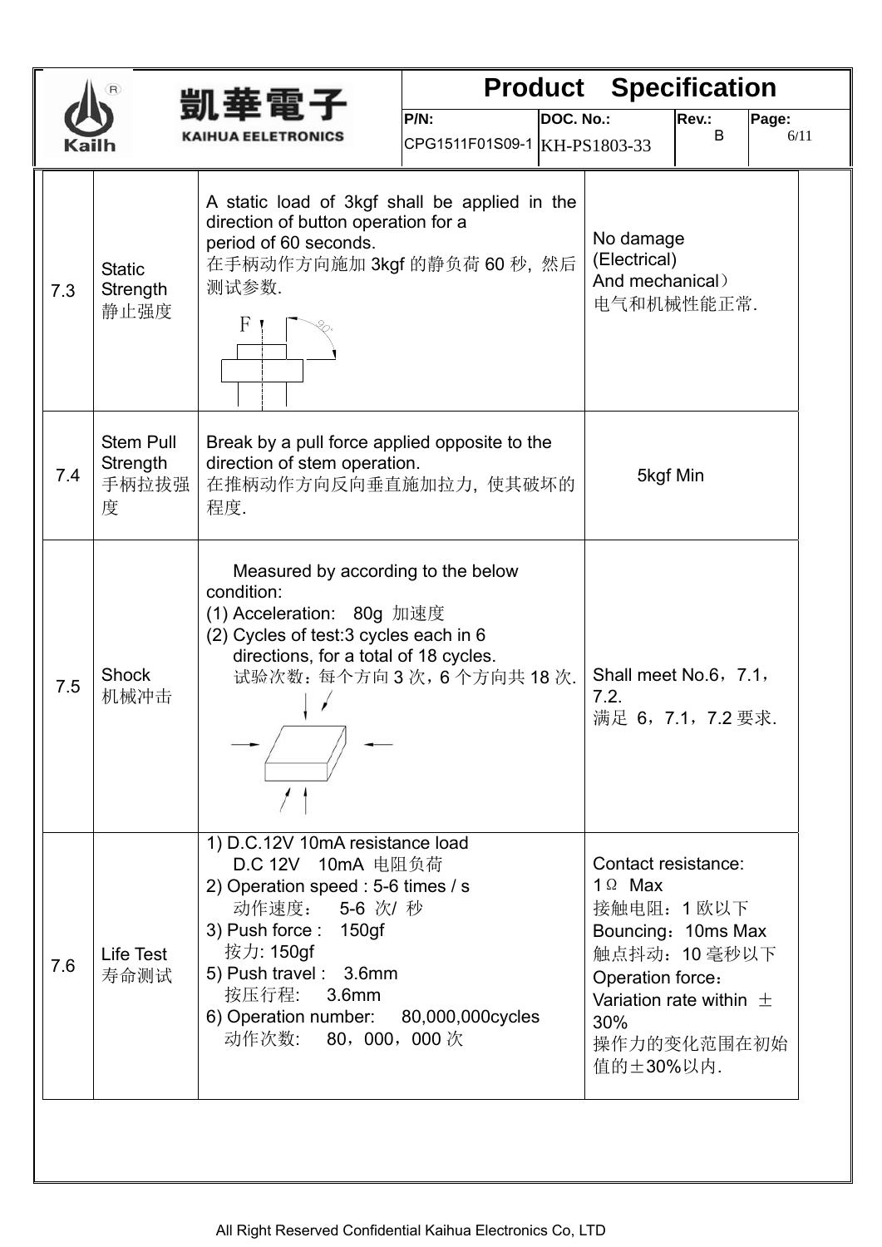| 凱垂雷子 |                                            |                                                                                                                                                                                                                                          |                                         |           | <b>Product Specification</b>                                                                                                                                                     |            |               |
|------|--------------------------------------------|------------------------------------------------------------------------------------------------------------------------------------------------------------------------------------------------------------------------------------------|-----------------------------------------|-----------|----------------------------------------------------------------------------------------------------------------------------------------------------------------------------------|------------|---------------|
|      |                                            | KAIHUA EELETRONICS                                                                                                                                                                                                                       | $P/N$ :<br>CPG1511F01S09-1 KH-PS1803-33 | DOC. No.: |                                                                                                                                                                                  | Rev.:<br>B | Page:<br>6/11 |
| 7.3  | <b>Static</b><br>Strength<br>静止强度          | A static load of 3kgf shall be applied in the<br>direction of button operation for a<br>period of 60 seconds.<br>在手柄动作方向施加 3kgf 的静负荷 60 秒, 然后<br>测试参数.<br>F                                                                              |                                         |           | No damage<br>(Electrical)<br>And mechanical)<br>电气和机械性能正常.                                                                                                                       |            |               |
| 7.4  | <b>Stem Pull</b><br>Strength<br>手柄拉拔强<br>度 | Break by a pull force applied opposite to the<br>direction of stem operation.<br>在推柄动作方向反向垂直施加拉力, 使其破坏的<br>程度.                                                                                                                           |                                         |           | 5kgf Min                                                                                                                                                                         |            |               |
| 7.5  | <b>Shock</b><br>机械冲击                       | Measured by according to the below<br>condition:<br>(1) Acceleration: 80g 加速度<br>(2) Cycles of test: 3 cycles each in 6<br>directions, for a total of 18 cycles.<br>试验次数: 每个方向3次, 6个方向共18次.                                              |                                         |           | Shall meet No.6, 7.1,<br>7.2.<br>满足 6, 7.1, 7.2 要求.                                                                                                                              |            |               |
| 7.6  | Life Test<br>寿命测试                          | 1) D.C.12V 10mA resistance load<br>D.C 12V 10mA 电阻负荷<br>2) Operation speed : 5-6 times / s<br>动作速度: 5-6 次/ 秒<br>3) Push force: 150gf<br>按力: 150gf<br>5) Push travel: 3.6mm<br>按压行程: 3.6mm<br>6) Operation number:<br>动作次数: 80, 000, 000次 | 80,000,000cycles                        |           | Contact resistance:<br>$1 \Omega$ Max<br>接触电阻: 1 欧以下<br>Bouncing: 10ms Max<br>触点抖动: 10毫秒以下<br>Operation force:<br>Variation rate within $\pm$<br>30%<br>操作力的变化范围在初始<br>值的土30%以内. |            |               |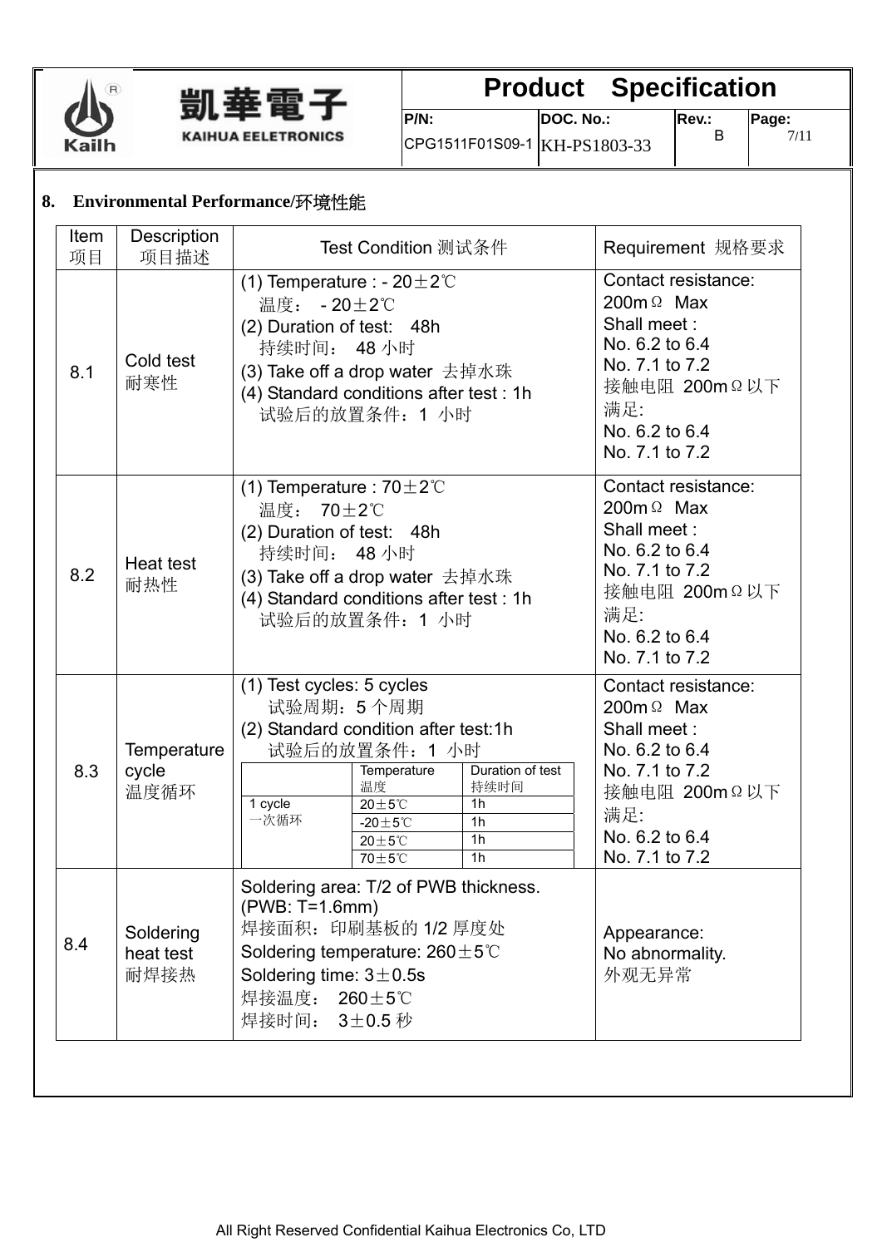



**P/N:**  CPG1511F01S09-1 KH-PS1803-33 **DOC. No.:** 

**Rev.:** 

B

**Page:**  7/11

#### **8. Environmental Performance/**环境性能

| Item<br>项目 | Description<br>项目描述            | Test Condition 测试条件                                                                                                                                                                                                                                                                                                  | Requirement 规格要求                                                                                                                                        |
|------------|--------------------------------|----------------------------------------------------------------------------------------------------------------------------------------------------------------------------------------------------------------------------------------------------------------------------------------------------------------------|---------------------------------------------------------------------------------------------------------------------------------------------------------|
| 8.1        | Cold test<br>耐寒性               | (1) Temperature : - $20 \pm 2^{\circ}$ C<br>温度: - 20±2℃<br>(2) Duration of test: 48h<br>持续时间: 48 小时<br>(3) Take off a drop water 去掉水珠<br>(4) Standard conditions after test: 1h<br>试验后的放置条件: 1 小时                                                                                                                    | Contact resistance:<br>200 $m \Omega$ Max<br>Shall meet:<br>No. 6.2 to 6.4<br>No. 7.1 to 7.2<br>接触电阻 200mΩ以下<br>满足:<br>No. 6.2 to 6.4<br>No. 7.1 to 7.2 |
| 8.2        | Heat test<br>耐热性               | (1) Temperature : $70 \pm 2^{\circ}$ C<br>温度: 70±2℃<br>(2) Duration of test: 48h<br>持续时间: 48 小时<br>(3) Take off a drop water 去掉水珠<br>(4) Standard conditions after test: 1h<br>试验后的放置条件: 1 小时                                                                                                                        | Contact resistance:<br>200 $m \Omega$ Max<br>Shall meet:<br>No. 6.2 to 6.4<br>No. 7.1 to 7.2<br>接触电阻 200mΩ以下<br>满足:<br>No. 6.2 to 6.4<br>No. 7.1 to 7.2 |
| 8.3        | Temperature<br>cycle<br>温度循环   | (1) Test cycles: 5 cycles<br>试验周期: 5个周期<br>(2) Standard condition after test:1h<br>试验后的放置条件: 1 小时<br>Duration of test<br>Temperature<br>温度<br>持续时间<br>1 cycle<br>$20\pm5^{\circ}$ C<br>1 <sub>h</sub><br>一次循环<br>-20 $\pm$ 5°C<br>1 <sub>h</sub><br>1 <sub>h</sub><br>$20\pm5^{\circ}$ C<br>70±5°C<br>1 <sub>h</sub> | Contact resistance:<br>200 $m \Omega$ Max<br>Shall meet:<br>No. 6.2 to 6.4<br>No. 7.1 to 7.2<br>接触电阻 200mΩ以下<br>满足:<br>No. 6.2 to 6.4<br>No. 7.1 to 7.2 |
| 8.4        | Soldering<br>heat test<br>耐焊接热 | Soldering area: T/2 of PWB thickness.<br>(PWB: T=1.6mm)<br>焊接面积: 印刷基板的 1/2 厚度处<br>Soldering temperature: $260 \pm 5^{\circ}$ C<br>Soldering time: $3\pm0.5s$<br>焊接温度:<br>$260 \pm 5^{\circ}$ C<br>焊接时间: 3±0.5秒                                                                                                       | Appearance:<br>No abnormality.<br>外观无异常                                                                                                                 |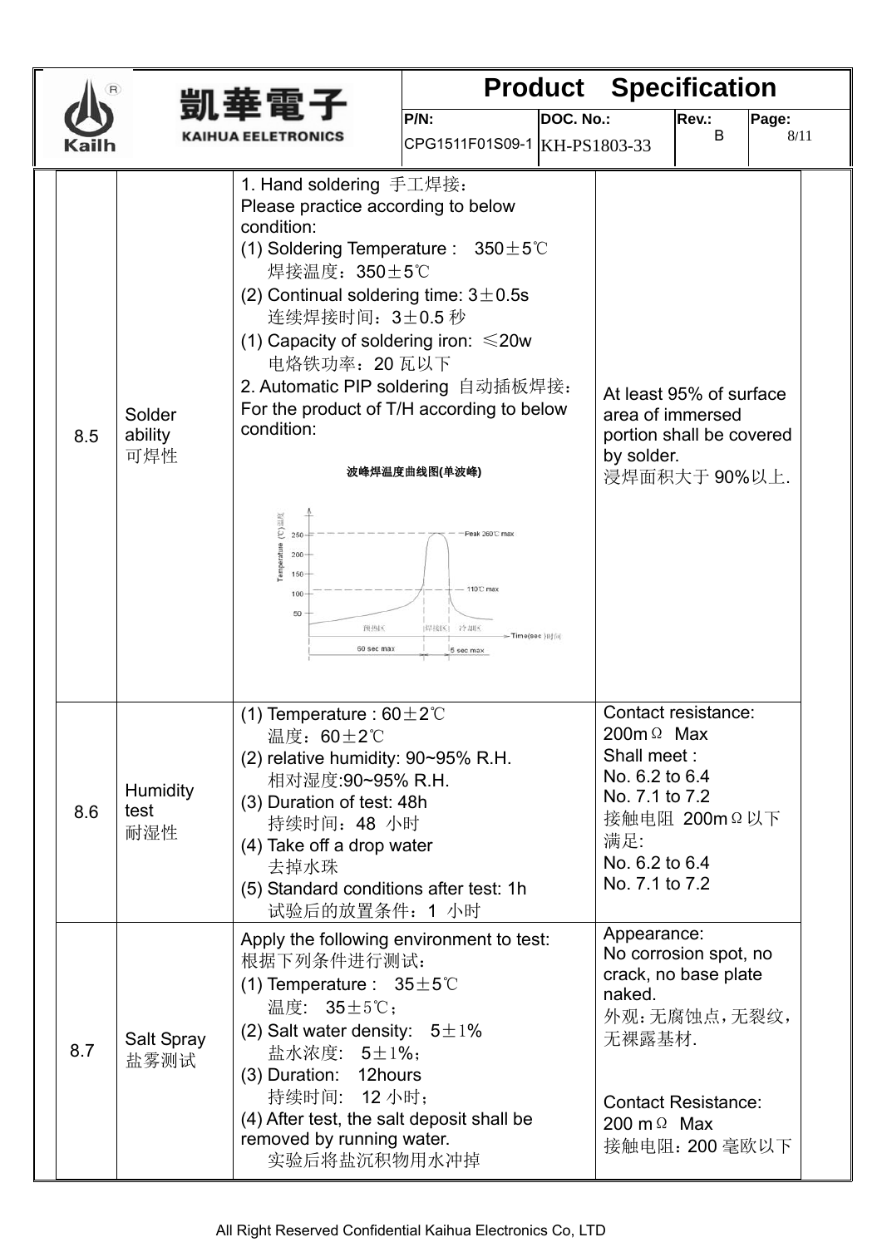|     |                                | 凱垂雷子                                                                                                                                                                                                                                                                                                                                                                                                                                                               |                                                                                                |           | <b>Product Specification</b>                                                                                     |                                                                                                               |               |
|-----|--------------------------------|--------------------------------------------------------------------------------------------------------------------------------------------------------------------------------------------------------------------------------------------------------------------------------------------------------------------------------------------------------------------------------------------------------------------------------------------------------------------|------------------------------------------------------------------------------------------------|-----------|------------------------------------------------------------------------------------------------------------------|---------------------------------------------------------------------------------------------------------------|---------------|
|     |                                | <b>KAIHUA EELETRONICS</b>                                                                                                                                                                                                                                                                                                                                                                                                                                          | P/N:                                                                                           | DOC. No.: |                                                                                                                  | Rev.:<br>B                                                                                                    | Page:<br>8/11 |
|     |                                |                                                                                                                                                                                                                                                                                                                                                                                                                                                                    | CPG1511F01S09-1 KH-PS1803-33                                                                   |           |                                                                                                                  |                                                                                                               |               |
| 8.5 | Solder<br>ability<br>可焊性       | 1. Hand soldering 手工焊接:<br>Please practice according to below<br>condition:<br>(1) Soldering Temperature : $350 \pm 5^{\circ}$<br>焊接温度: 350±5℃<br>(2) Continual soldering time: $3\pm0.5s$<br>连续焊接时间: 3±0.5秒<br>(1) Capacity of soldering iron: $\leq 20w$<br>电烙铁功率: 20 瓦以下<br>2. Automatic PIP soldering 自动插板焊接:<br>For the product of T/H according to below<br>condition:<br>(C)温度<br>250<br>emperature<br>$200 -$<br>$150 -$<br>100<br>50<br>预热区<br>60 sec max | 波峰焊温度曲线图(单波峰)<br>Peak 260°C max<br>110°C max<br> 焊接区  冷却区<br>- Time(sec ) [4] [a]<br>5 sec max |           | area of immersed<br>by solder.                                                                                   | At least 95% of surface<br>portion shall be covered<br>浸焊面积大于90%以上.                                           |               |
| 8.6 | <b>Humidity</b><br>test<br>耐湿性 | (1) Temperature : $60 \pm 2^{\circ}$ C<br>温度: 60±2℃<br>$(2)$ relative humidity: 90~95% R.H.<br>相对湿度:90~95% R.H.<br>(3) Duration of test: 48h<br>持续时间: 48 小时<br>(4) Take off a drop water<br>去掉水珠<br>(5) Standard conditions after test: 1h<br>试验后的放置条件: 1 小时                                                                                                                                                                                                       |                                                                                                |           | 200 $m \Omega$ Max<br>Shall meet:<br>No. 6.2 to 6.4<br>No. 7.1 to 7.2<br>满足:<br>No. 6.2 to 6.4<br>No. 7.1 to 7.2 | Contact resistance:<br>接触电阻 200mΩ以下                                                                           |               |
| 8.7 | Salt Spray<br>盐雾测试             | Apply the following environment to test:<br>根据下列条件进行测试:<br>(1) Temperature : $35 \pm 5^{\circ}$ C<br>温度: 35±5℃;<br>(2) Salt water density: $5 \pm 1\%$<br>盐水浓度: 5±1%;<br>(3) Duration: 12hours<br>持续时间: 12 小时;<br>(4) After test, the salt deposit shall be<br>removed by running water.<br>实验后将盐沉积物用水冲掉                                                                                                                                                           |                                                                                                |           | Appearance:<br>naked.<br>无裸露基材.<br>200 m $\Omega$ Max                                                            | No corrosion spot, no<br>crack, no base plate<br>外观:无腐蚀点,无裂纹,<br><b>Contact Resistance:</b><br>接触电阻: 200 毫欧以下 |               |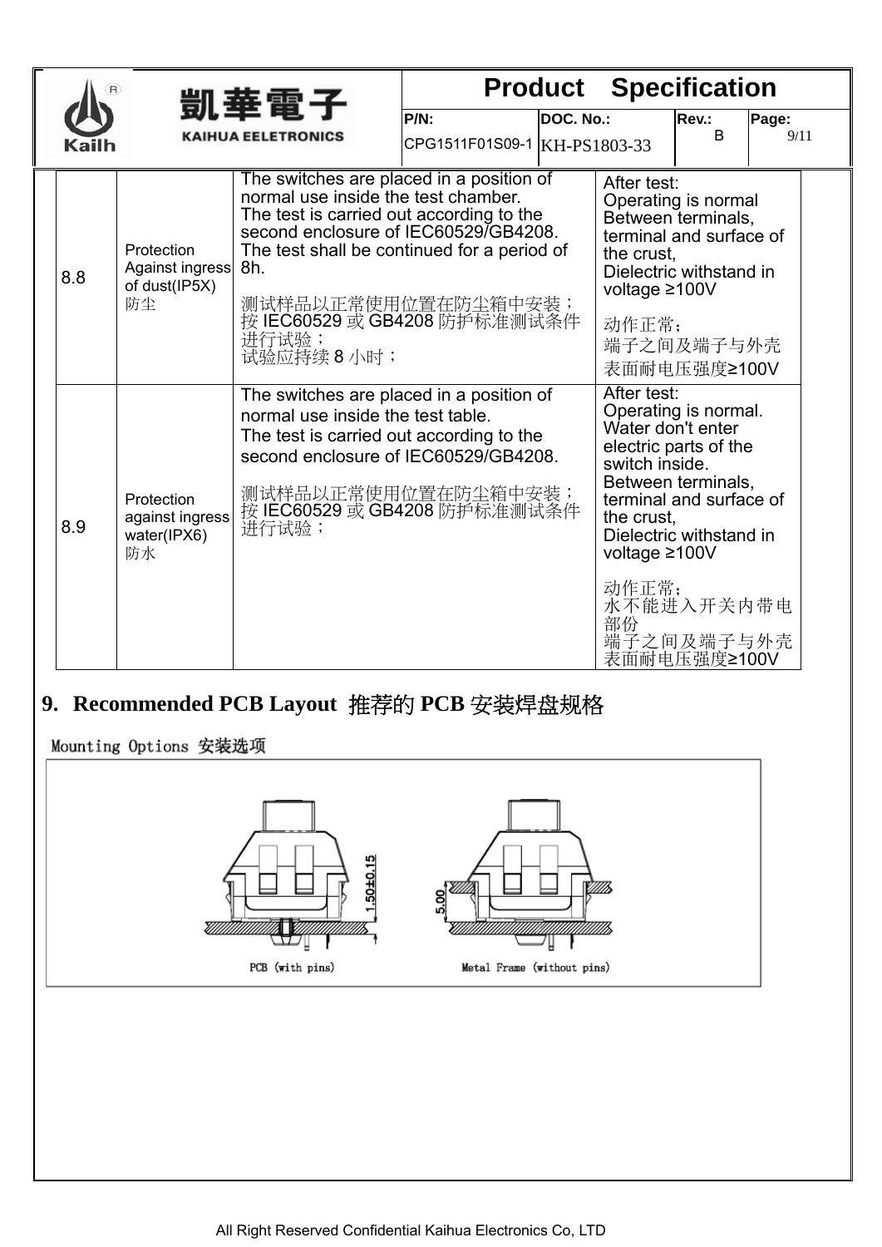|     |                                                      | 凱華電子                                                                                                                                                                                                                                                                                                   |                                         |           | <b>Product Specification</b>                                                                     |                                                                                                                                                                       |               |
|-----|------------------------------------------------------|--------------------------------------------------------------------------------------------------------------------------------------------------------------------------------------------------------------------------------------------------------------------------------------------------------|-----------------------------------------|-----------|--------------------------------------------------------------------------------------------------|-----------------------------------------------------------------------------------------------------------------------------------------------------------------------|---------------|
|     |                                                      | KAIHUA EELETRONICS                                                                                                                                                                                                                                                                                     | $P/N$ :<br>CPG1511F01S09-1 KH-PS1803-33 | DOC. No.: |                                                                                                  | Rev.:<br>B                                                                                                                                                            | Page:<br>9/11 |
| 8.8 | Protection<br>Against ingress<br>of dust(IP5X)<br>防尘 | The switches are placed in a position of<br>normal use inside the test chamber.<br>The test is carried out according to the<br>second enclosure of IEC60529/GB4208.<br>The test shall be continued for a period of<br>8h.<br>测试样品以正常使用位置在防尘箱中安装;<br>按 IEC60529 或 GB4208 防护标准测试条件<br>进行试验;<br>试验应持续8小时; |                                         |           | After test:<br>the crust.<br>voltage $\geq 100V$<br>动作正常;                                        | Operating is normal<br>Between terminals,<br>terminal and surface of<br>Dielectric withstand in<br>端子之间及端子与外壳<br>表面耐电压强度≥100V                                         |               |
| 8.9 | Protection<br>against ingress<br>water(IPX6)<br>防水   | The switches are placed in a position of<br>normal use inside the test table.<br>The test is carried out according to the<br>second enclosure of IEC60529/GB4208.<br>测试样品以正常使用位置在防尘箱中安装;<br>按 IEC60529 或 GB4208 防护标准测试条件<br>进行试验;                                                                      |                                         |           | After test:<br>Water don't enter<br>switch inside.<br>the crust,<br>voltage ≥100V<br>动作正常;<br>部份 | Operating is normal.<br>electric parts of the<br>Between terminals,<br>terminal and surface of<br>Dielectric withstand in<br>水不能进入开关内带电<br>端子之间及端子与外壳<br>表面耐电压强度≥100V |               |

### **9. Recommended PCB Layout** 推荐的 **PCB** 安装焊盘规格

Mounting Options 安装选项

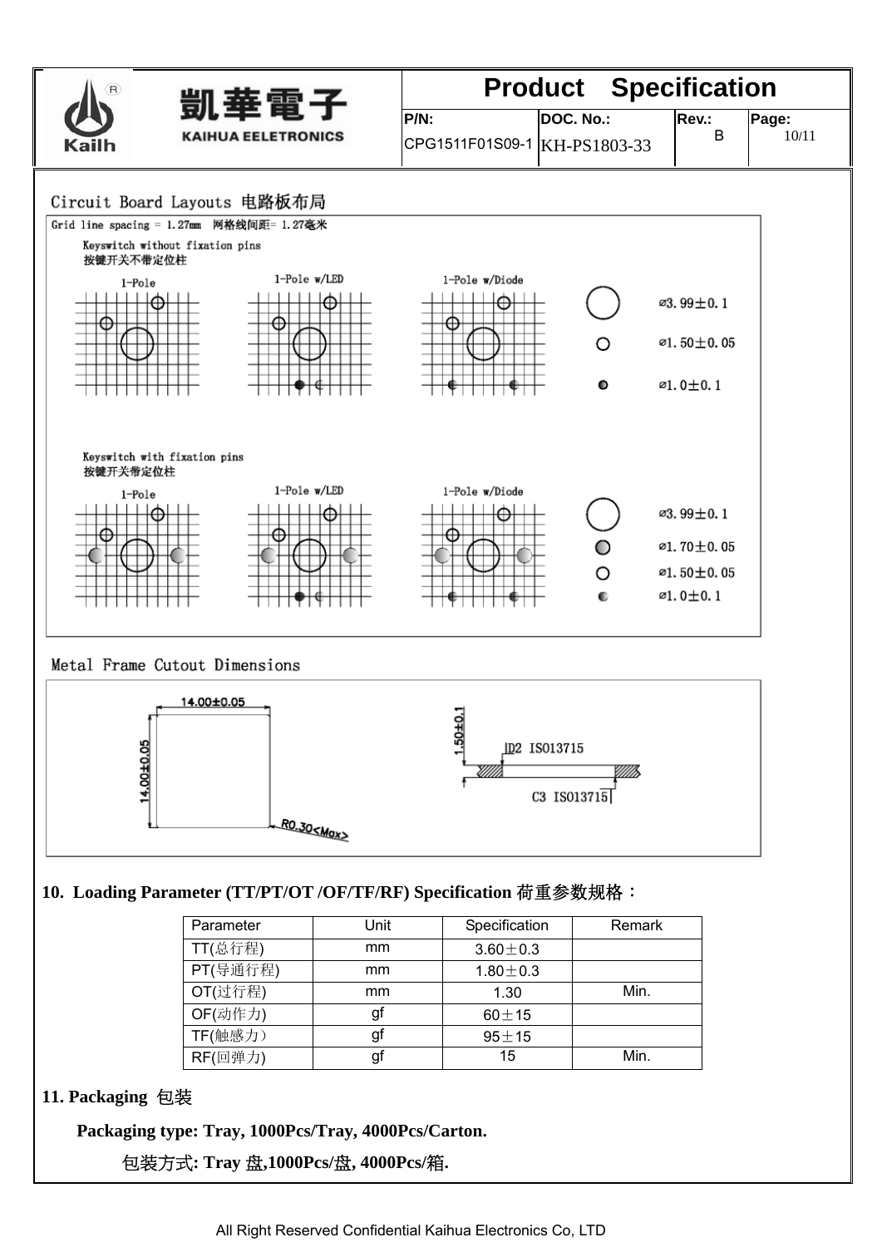

#### Metal Frame Cutout Dimensions



#### **10. Loading Parameter (TT/PT/OT /OF/TF/RF) Specification** 荷重参数规格:

| Parameter | Unit | Specification  | Remark |
|-----------|------|----------------|--------|
| TT(总行程)   | mm   | $3.60 \pm 0.3$ |        |
| PT(导通行程)  | mm   | $1.80 \pm 0.3$ |        |
| OT(过行程)   | mm   | 1.30           | Min.   |
| OF(动作力)   | gf   | $60 \pm 15$    |        |
| TF(触感力)   | gf   | $95 + 15$      |        |
| RF(回弹力)   | gf   | 15             | Min.   |

#### **11. Packaging** 包装

**Packaging type: Tray, 1000Pcs/Tray, 4000Pcs/Carton.** 

包装方式**: Tray** 盘**,1000Pcs/**盘**, 4000Pcs/**箱**.**